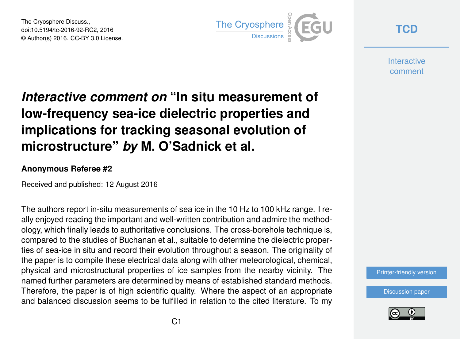The Cryosphere Discuss., doi:10.5194/tc-2016-92-RC2, 2016 © Author(s) 2016. CC-BY 3.0 License.



**[TCD](http://www.the-cryosphere-discuss.net/)**

**Interactive** comment

## *Interactive comment on* **"In situ measurement of low-frequency sea-ice dielectric properties and implications for tracking seasonal evolution of microstructure"** *by* **M. O'Sadnick et al.**

## **Anonymous Referee #2**

Received and published: 12 August 2016

The authors report in-situ measurements of sea ice in the 10 Hz to 100 kHz range. I really enjoyed reading the important and well-written contribution and admire the methodology, which finally leads to authoritative conclusions. The cross-borehole technique is, compared to the studies of Buchanan et al., suitable to determine the dielectric properties of sea-ice in situ and record their evolution throughout a season. The originality of the paper is to compile these electrical data along with other meteorological, chemical, physical and microstructural properties of ice samples from the nearby vicinity. The named further parameters are determined by means of established standard methods. Therefore, the paper is of high scientific quality. Where the aspect of an appropriate and balanced discussion seems to be fulfilled in relation to the cited literature. To my

[Printer-friendly version](http://www.the-cryosphere-discuss.net/tc-2016-92/tc-2016-92-RC2-print.pdf)

[Discussion paper](http://www.the-cryosphere-discuss.net/tc-2016-92)